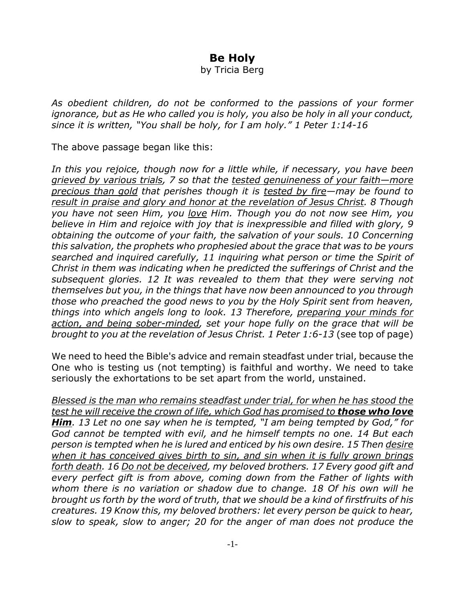## **Be Holy**

by Tricia Berg

*As obedient children, do not be conformed to the passions of your former ignorance, but as He who called you is holy, you also be holy in all your conduct, since it is written, "You shall be holy, for I am holy." 1 Peter 1:14-16*

The above passage began like this:

*In this you rejoice, though now for a little while, if necessary, you have been grieved by various trials, 7 so that the tested genuineness of your faith—more precious than gold that perishes though it is tested by fire—may be found to result in praise and glory and honor at the revelation of Jesus Christ. 8 Though you have not seen Him, you love Him. Though you do not now see Him, you believe in Him and rejoice with joy that is inexpressible and filled with glory, 9 obtaining the outcome of your faith, the salvation of your souls. 10 Concerning this salvation, the prophets who prophesied about the grace that was to be yours searched and inquired carefully, 11 inquiring what person or time the Spirit of Christ in them was indicating when he predicted the sufferings of Christ and the subsequent glories. 12 It was revealed to them that they were serving not themselves but you, in the things that have now been announced to you through those who preached the good news to you by the Holy Spirit sent from heaven, things into which angels long to look. 13 Therefore, preparing your minds for action, and being sober-minded, set your hope fully on the grace that will be brought to you at the revelation of Jesus Christ. 1 Peter 1:6-13* (see top of page)

We need to heed the Bible's advice and remain steadfast under trial, because the One who is testing us (not tempting) is faithful and worthy. We need to take seriously the exhortations to be set apart from the world, unstained.

*Blessed is the man who remains steadfast under trial, for when he has stood the test he will receive the crown of life, which God has promised to those who love Him. 13 Let no one say when he is tempted, "I am being tempted by God," for God cannot be tempted with evil, and he himself tempts no one. 14 But each person is tempted when he is lured and enticed by his own desire. 15 Then desire when it has conceived gives birth to sin, and sin when it is fully grown brings forth death. 16 Do not be deceived, my beloved brothers. 17 Every good gift and every perfect gift is from above, coming down from the Father of lights with whom there is no variation or shadow due to change. 18 Of his own will he brought us forth by the word of truth, that we should be a kind of firstfruits of his creatures. 19 Know this, my beloved brothers: let every person be quick to hear, slow to speak, slow to anger; 20 for the anger of man does not produce the*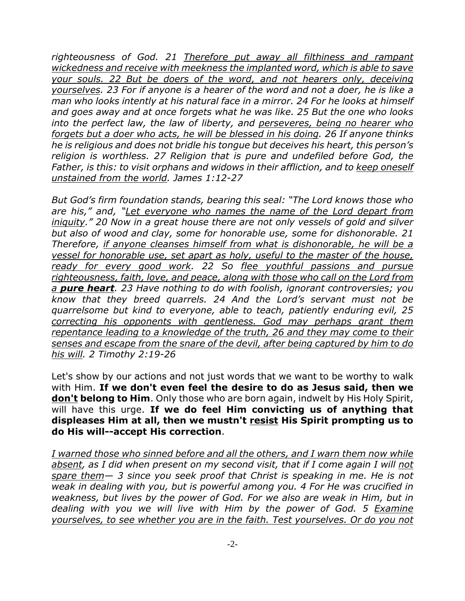*righteousness of God. 21 Therefore put away all filthiness and rampant wickedness and receive with meekness the implanted word, which is able to save your souls. 22 But be doers of the word, and not hearers only, deceiving yourselves. 23 For if anyone is a hearer of the word and not a doer, he is like a man who looks intently at his natural face in a mirror. 24 For he looks at himself and goes away and at once forgets what he was like. 25 But the one who looks into the perfect law, the law of liberty, and perseveres, being no hearer who forgets but a doer who acts, he will be blessed in his doing. 26 If anyone thinks he is religious and does not bridle his tongue but deceives his heart, this person's religion is worthless. 27 Religion that is pure and undefiled before God, the Father, is this: to visit orphans and widows in their affliction, and to keep oneself unstained from the world. James 1:12-27*

*But God's firm foundation stands, bearing this seal: "The Lord knows those who are his," and, "Let everyone who names the name of the Lord depart from iniquity." 20 Now in a great house there are not only vessels of gold and silver but also of wood and clay, some for honorable use, some for dishonorable. 21 Therefore, if anyone cleanses himself from what is dishonorable, he will be a vessel for honorable use, set apart as holy, useful to the master of the house, ready for every good work. 22 So flee youthful passions and pursue righteousness, faith, love, and peace, along with those who call on the Lord from a pure heart. 23 Have nothing to do with foolish, ignorant controversies; you know that they breed quarrels. 24 And the Lord's servant must not be quarrelsome but kind to everyone, able to teach, patiently enduring evil, 25 correcting his opponents with gentleness. God may perhaps grant them repentance leading to a knowledge of the truth, 26 and they may come to their senses and escape from the snare of the devil, after being captured by him to do his will. 2 Timothy 2:19-26*

Let's show by our actions and not just words that we want to be worthy to walk with Him. **If we don't even feel the desire to do as Jesus said, then we don't belong to Him**. Only those who are born again, indwelt by His Holy Spirit, will have this urge. **If we do feel Him convicting us of anything that displeases Him at all, then we mustn't resist His Spirit prompting us to do His will--accept His correction**.

*I warned those who sinned before and all the others, and I warn them now while absent, as I did when present on my second visit, that if I come again I will not spare them— 3 since you seek proof that Christ is speaking in me. He is not weak in dealing with you, but is powerful among you. 4 For He was crucified in weakness, but lives by the power of God. For we also are weak in Him, but in dealing with you we will live with Him by the power of God. 5 Examine yourselves, to see whether you are in the faith. Test yourselves. Or do you not*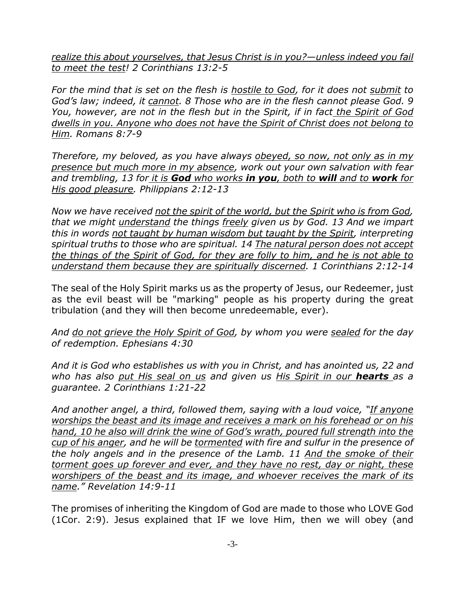*realize this about yourselves, that Jesus Christ is in you?—unless indeed you fail to meet the test! 2 Corinthians 13:2-5*

*For the mind that is set on the flesh is hostile to God, for it does not submit to God's law; indeed, it cannot. 8 Those who are in the flesh cannot please God. 9 You, however, are not in the flesh but in the Spirit, if in fact the Spirit of God dwells in you. Anyone who does not have the Spirit of Christ does not belong to Him. Romans 8:7-9*

*Therefore, my beloved, as you have always obeyed, so now, not only as in my presence but much more in my absence, work out your own salvation with fear and trembling, 13 for it is God who works in you, both to will and to work for His good pleasure. Philippians 2:12-13*

*Now we have received not the spirit of the world, but the Spirit who is from God, that we might understand the things freely given us by God. 13 And we impart this in words not taught by human wisdom but taught by the Spirit, interpreting spiritual truths to those who are spiritual. 14 The natural person does not accept the things of the Spirit of God, for they are folly to him, and he is not able to understand them because they are spiritually discerned. 1 Corinthians 2:12-14*

The seal of the Holy Spirit marks us as the property of Jesus, our Redeemer, just as the evil beast will be "marking" people as his property during the great tribulation (and they will then become unredeemable, ever).

*And do not grieve the Holy Spirit of God, by whom you were sealed for the day of redemption. Ephesians 4:30*

*And it is God who establishes us with you in Christ, and has anointed us, 22 and who has also put His seal on us and given us His Spirit in our hearts as a guarantee. 2 Corinthians 1:21-22*

*And another angel, a third, followed them, saying with a loud voice, "If anyone worships the beast and its image and receives a mark on his forehead or on his hand, 10 he also will drink the wine of God's wrath, poured full strength into the cup of his anger, and he will be tormented with fire and sulfur in the presence of the holy angels and in the presence of the Lamb. 11 And the smoke of their torment goes up forever and ever, and they have no rest, day or night, these worshipers of the beast and its image, and whoever receives the mark of its name." Revelation 14:9-11*

The promises of inheriting the Kingdom of God are made to those who LOVE God (1Cor. 2:9). Jesus explained that IF we love Him, then we will obey (and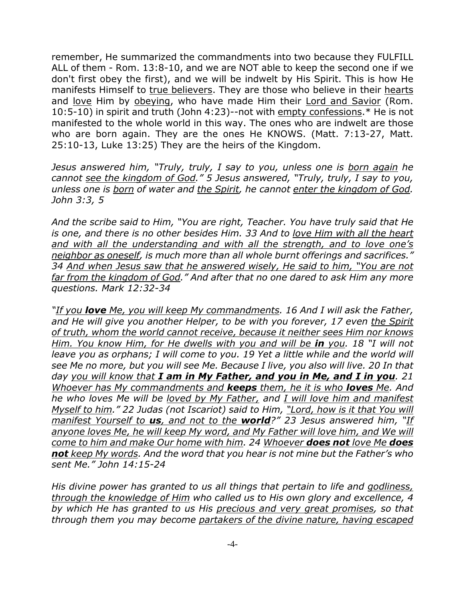remember, He summarized the commandments into two because they FULFILL ALL of them - Rom. 13:8-10, and we are NOT able to keep the second one if we don't first obey the first), and we will be indwelt by His Spirit. This is how He manifests Himself to true believers. They are those who believe in their hearts and love Him by obeying, who have made Him their Lord and Savior (Rom. 10:5-10) in spirit and truth (John 4:23)--not with empty confessions.\* He is not manifested to the whole world in this way. The ones who are indwelt are those who are born again. They are the ones He KNOWS. (Matt. 7:13-27, Matt. 25:10-13, Luke 13:25) They are the heirs of the Kingdom.

*Jesus answered him, "Truly, truly, I say to you, unless one is born again he cannot see the kingdom of God." 5 Jesus answered, "Truly, truly, I say to you, unless one is born of water and the Spirit, he cannot enter the kingdom of God. John 3:3, 5*

*And the scribe said to Him, "You are right, Teacher. You have truly said that He is one, and there is no other besides Him. 33 And to love Him with all the heart and with all the understanding and with all the strength, and to love one's neighbor as oneself, is much more than all whole burnt offerings and sacrifices." 34 And when Jesus saw that he answered wisely, He said to him, "You are not far from the kingdom of God." And after that no one dared to ask Him any more questions. Mark 12:32-34*

*"If you love Me, you will keep My commandments. 16 And I will ask the Father, and He will give you another Helper, to be with you forever, 17 even the Spirit of truth, whom the world cannot receive, because it neither sees Him nor knows Him. You know Him, for He dwells with you and will be in you. 18 "I will not leave you as orphans; I will come to you. 19 Yet a little while and the world will see Me no more, but you will see Me. Because I live, you also will live. 20 In that day you will know that I am in My Father, and you in Me, and I in you. 21 Whoever has My commandments and keeps them, he it is who loves Me. And he who loves Me will be loved by My Father, and I will love him and manifest Myself to him." 22 Judas (not Iscariot) said to Him, "Lord, how is it that You will manifest Yourself to us, and not to the world?" 23 Jesus answered him, "If anyone loves Me, he will keep My word, and My Father will love him, and We will come to him and make Our home with him. 24 Whoever does not love Me does not keep My words. And the word that you hear is not mine but the Father's who sent Me." John 14:15-24*

*His divine power has granted to us all things that pertain to life and godliness, through the knowledge of Him who called us to His own glory and excellence, 4 by which He has granted to us His precious and very great promises, so that through them you may become partakers of the divine nature, having escaped*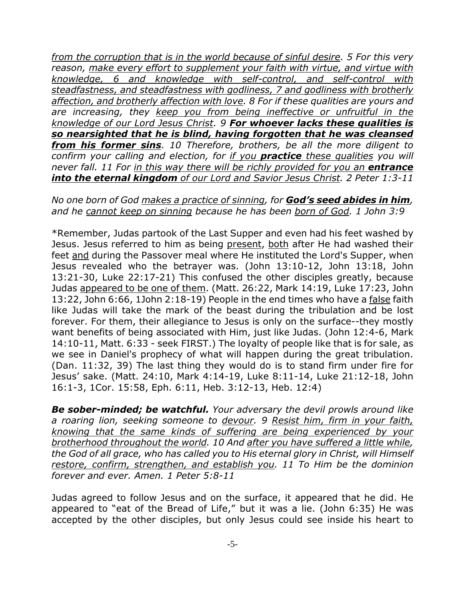*from the corruption that is in the world because of sinful desire. 5 For this very reason, make every effort to supplement your faith with virtue, and virtue with knowledge, 6 and knowledge with self-control, and self-control with steadfastness, and steadfastness with godliness, 7 and godliness with brotherly affection, and brotherly affection with love. 8 For if these qualities are yours and are increasing, they keep you from being ineffective or unfruitful in the knowledge of our Lord Jesus Christ. 9 For whoever lacks these qualities is so nearsighted that he is blind, having forgotten that he was cleansed from his former sins. 10 Therefore, brothers, be all the more diligent to confirm your calling and election, for if you practice these qualities you will never fall. 11 For in this way there will be richly provided for you an entrance into the eternal kingdom of our Lord and Savior Jesus Christ. 2 Peter 1:3-11*

## *No one born of God makes a practice of sinning, for God's seed abides in him, and he cannot keep on sinning because he has been born of God. 1 John 3:9*

\*Remember, Judas partook of the Last Supper and even had his feet washed by Jesus. Jesus referred to him as being present, both after He had washed their feet and during the Passover meal where He instituted the Lord's Supper, when Jesus revealed who the betrayer was. (John 13:10-12, John 13:18, John 13:21-30, Luke 22:17-21) This confused the other disciples greatly, because Judas appeared to be one of them. (Matt. 26:22, Mark 14:19, Luke 17:23, John 13:22, John 6:66, 1John 2:18-19) People in the end times who have a false faith like Judas will take the mark of the beast during the tribulation and be lost forever. For them, their allegiance to Jesus is only on the surface--they mostly want benefits of being associated with Him, just like Judas. (John 12:4-6, Mark 14:10-11, Matt. 6:33 - seek FIRST.) The loyalty of people like that is for sale, as we see in Daniel's prophecy of what will happen during the great tribulation. (Dan. 11:32, 39) The last thing they would do is to stand firm under fire for Jesus' sake. (Matt. 24:10, Mark 4:14-19, Luke 8:11-14, Luke 21:12-18, John 16:1-3, 1Cor. 15:58, Eph. 6:11, Heb. 3:12-13, Heb. 12:4)

*Be sober-minded; be watchful. Your adversary the devil prowls around like a roaring lion, seeking someone to devour. 9 Resist him, firm in your faith, knowing that the same kinds of suffering are being experienced by your brotherhood throughout the world. 10 And after you have suffered a little while, the God of all grace, who has called you to His eternal glory in Christ, will Himself restore, confirm, strengthen, and establish you. 11 To Him be the dominion forever and ever. Amen. 1 Peter 5:8-11*

Judas agreed to follow Jesus and on the surface, it appeared that he did. He appeared to "eat of the Bread of Life," but it was a lie. (John 6:35) He was accepted by the other disciples, but only Jesus could see inside his heart to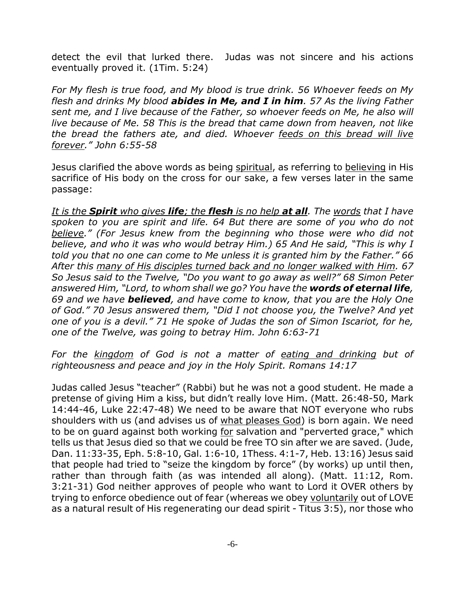detect the evil that lurked there. Judas was not sincere and his actions eventually proved it. (1Tim. 5:24)

*For My flesh is true food, and My blood is true drink. 56 Whoever feeds on My flesh and drinks My blood abides in Me, and I in him. 57 As the living Father sent me, and I live because of the Father, so whoever feeds on Me, he also will live because of Me. 58 This is the bread that came down from heaven, not like the bread the fathers ate, and died. Whoever feeds on this bread will live forever." John 6:55-58*

Jesus clarified the above words as being spiritual, as referring to believing in His sacrifice of His body on the cross for our sake, a few verses later in the same passage:

*It is the Spirit who gives life; the flesh is no help at all. The words that I have spoken to you are spirit and life. 64 But there are some of you who do not believe." (For Jesus knew from the beginning who those were who did not believe, and who it was who would betray Him.) 65 And He said, "This is why I told you that no one can come to Me unless it is granted him by the Father." 66 After this many of His disciples turned back and no longer walked with Him. 67 So Jesus said to the Twelve, "Do you want to go away as well?" 68 Simon Peter answered Him, "Lord, to whom shall we go? You have the words of eternal life, 69 and we have believed, and have come to know, that you are the Holy One of God." 70 Jesus answered them, "Did I not choose you, the Twelve? And yet one of you is a devil." 71 He spoke of Judas the son of Simon Iscariot, for he, one of the Twelve, was going to betray Him. John 6:63-71*

*For the kingdom of God is not a matter of eating and drinking but of righteousness and peace and joy in the Holy Spirit. Romans 14:17*

Judas called Jesus "teacher" (Rabbi) but he was not a good student. He made a pretense of giving Him a kiss, but didn't really love Him. (Matt. 26:48-50, Mark 14:44-46, Luke 22:47-48) We need to be aware that NOT everyone who rubs shoulders with us (and advises us of what pleases God) is born again. We need to be on guard against both working for salvation and "perverted grace," which tells us that Jesus died so that we could be free TO sin after we are saved. (Jude, Dan. 11:33-35, Eph. 5:8-10, Gal. 1:6-10, 1Thess. 4:1-7, Heb. 13:16) Jesus said that people had tried to "seize the kingdom by force" (by works) up until then, rather than through faith (as was intended all along). (Matt. 11:12, Rom. 3:21-31) God neither approves of people who want to Lord it OVER others by trying to enforce obedience out of fear (whereas we obey voluntarily out of LOVE as a natural result of His regenerating our dead spirit - Titus 3:5), nor those who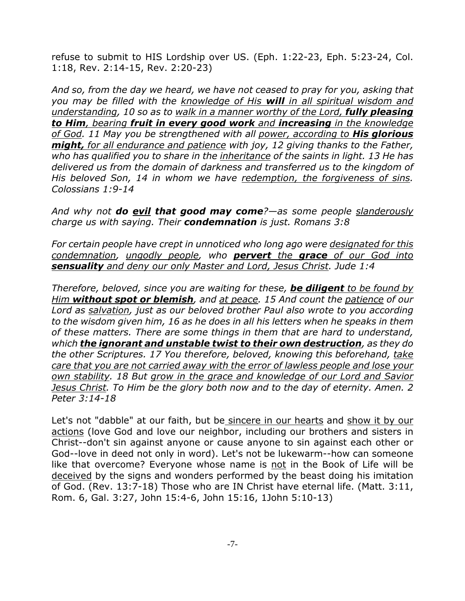refuse to submit to HIS Lordship over US. (Eph. 1:22-23, Eph. 5:23-24, Col. 1:18, Rev. 2:14-15, Rev. 2:20-23)

*And so, from the day we heard, we have not ceased to pray for you, asking that you may be filled with the knowledge of His will in all spiritual wisdom and understanding, 10 so as to walk in a manner worthy of the Lord, fully pleasing to Him, bearing fruit in every good work and increasing in the knowledge of God. 11 May you be strengthened with all power, according to His glorious might, for all endurance and patience with joy, 12 giving thanks to the Father, who has qualified you to share in the inheritance of the saints in light. 13 He has delivered us from the domain of darkness and transferred us to the kingdom of His beloved Son, 14 in whom we have redemption, the forgiveness of sins. Colossians 1:9-14*

*And why not do evil that good may come?—as some people slanderously charge us with saying. Their condemnation is just. Romans 3:8*

*For certain people have crept in unnoticed who long ago were designated for this condemnation, ungodly people, who pervert the grace of our God into sensuality and deny our only Master and Lord, Jesus Christ. Jude 1:4*

*Therefore, beloved, since you are waiting for these, be diligent to be found by Him without spot or blemish, and at peace. 15 And count the patience of our Lord as salvation, just as our beloved brother Paul also wrote to you according to the wisdom given him, 16 as he does in all his letters when he speaks in them of these matters. There are some things in them that are hard to understand, which the ignorant and unstable twist to their own destruction, as they do the other Scriptures. 17 You therefore, beloved, knowing this beforehand, take care that you are not carried away with the error of lawless people and lose your own stability. 18 But grow in the grace and knowledge of our Lord and Savior Jesus Christ. To Him be the glory both now and to the day of eternity. Amen. 2 Peter 3:14-18*

Let's not "dabble" at our faith, but be sincere in our hearts and show it by our actions (love God and love our neighbor, including our brothers and sisters in Christ--don't sin against anyone or cause anyone to sin against each other or God--love in deed not only in word). Let's not be lukewarm--how can someone like that overcome? Everyone whose name is not in the Book of Life will be deceived by the signs and wonders performed by the beast doing his imitation of God. (Rev. 13:7-18) Those who are IN Christ have eternal life. (Matt. 3:11, Rom. 6, Gal. 3:27, John 15:4-6, John 15:16, 1John 5:10-13)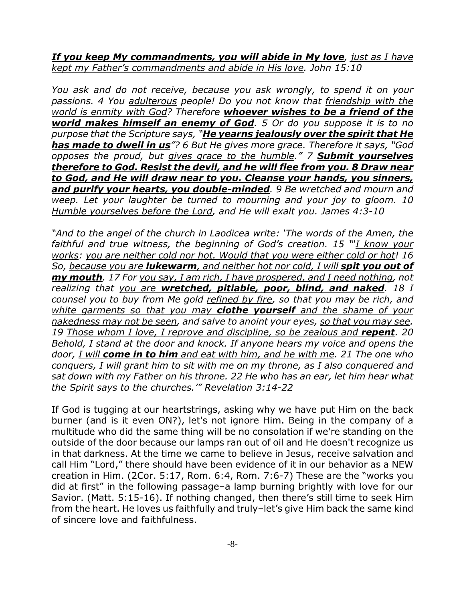*If you keep My commandments, you will abide in My love, just as I have kept my Father's commandments and abide in His love. John 15:10*

*You ask and do not receive, because you ask wrongly, to spend it on your passions. 4 You adulterous people! Do you not know that friendship with the world is enmity with God? Therefore whoever wishes to be a friend of the world makes himself an enemy of God. 5 Or do you suppose it is to no purpose that the Scripture says, "He yearns jealously over the spirit that He has made to dwell in us"? 6 But He gives more grace. Therefore it says, "God opposes the proud, but gives grace to the humble." 7 Submit yourselves therefore to God. Resist the devil, and he will flee from you. 8 Draw near to God, and He will draw near to you. Cleanse your hands, you sinners, and purify your hearts, you double-minded. 9 Be wretched and mourn and weep. Let your laughter be turned to mourning and your joy to gloom. 10 Humble yourselves before the Lord, and He will exalt you. James 4:3-10*

*"And to the angel of the church in Laodicea write: 'The words of the Amen, the faithful and true witness, the beginning of God's creation. 15 "'I know your works: you are neither cold nor hot. Would that you were either cold or hot! 16 So, because you are lukewarm, and neither hot nor cold, I will spit you out of my mouth. 17 For you say, I am rich, I have prospered, and I need nothing, not realizing that you are wretched, pitiable, poor, blind, and naked. 18 I counsel you to buy from Me gold refined by fire, so that you may be rich, and white garments so that you may clothe yourself and the shame of your nakedness may not be seen, and salve to anoint your eyes, so that you may see. 19 Those whom I love, I reprove and discipline, so be zealous and repent. 20 Behold, I stand at the door and knock. If anyone hears my voice and opens the door, I will come in to him and eat with him, and he with me. 21 The one who conquers, I will grant him to sit with me on my throne, as I also conquered and sat down with my Father on his throne. 22 He who has an ear, let him hear what the Spirit says to the churches.'" Revelation 3:14-22*

If God is tugging at our heartstrings, asking why we have put Him on the back burner (and is it even ON?), let's not ignore Him. Being in the company of a multitude who did the same thing will be no consolation if we're standing on the outside of the door because our lamps ran out of oil and He doesn't recognize us in that darkness. At the time we came to believe in Jesus, receive salvation and call Him "Lord," there should have been evidence of it in our behavior as a NEW creation in Him. (2Cor. 5:17, Rom. 6:4, Rom. 7:6-7) These are the "works you did at first" in the following passage–a lamp burning brightly with love for our Savior. (Matt. 5:15-16). If nothing changed, then there's still time to seek Him from the heart. He loves us faithfully and truly–let's give Him back the same kind of sincere love and faithfulness.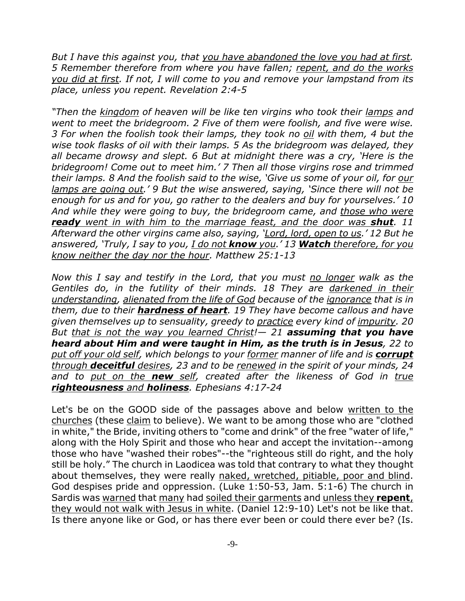*But I have this against you, that you have abandoned the love you had at first. 5 Remember therefore from where you have fallen; repent, and do the works you did at first. If not, I will come to you and remove your lampstand from its place, unless you repent. Revelation 2:4-5*

*"Then the kingdom of heaven will be like ten virgins who took their lamps and went to meet the bridegroom. 2 Five of them were foolish, and five were wise. 3 For when the foolish took their lamps, they took no oil with them, 4 but the wise took flasks of oil with their lamps. 5 As the bridegroom was delayed, they all became drowsy and slept. 6 But at midnight there was a cry, 'Here is the bridegroom! Come out to meet him.' 7 Then all those virgins rose and trimmed their lamps. 8 And the foolish said to the wise, 'Give us some of your oil, for our lamps are going out.' 9 But the wise answered, saying, 'Since there will not be enough for us and for you, go rather to the dealers and buy for yourselves.' 10 And while they were going to buy, the bridegroom came, and those who were ready went in with him to the marriage feast, and the door was shut. 11 Afterward the other virgins came also, saying, 'Lord, lord, open to us.' 12 But he answered, 'Truly, I say to you, I do not know you.' 13 Watch therefore, for you know neither the day nor the hour. Matthew 25:1-13*

*Now this I say and testify in the Lord, that you must no longer walk as the Gentiles do, in the futility of their minds. 18 They are darkened in their understanding, alienated from the life of God because of the ignorance that is in them, due to their hardness of heart. 19 They have become callous and have given themselves up to sensuality, greedy to practice every kind of impurity. 20 But that is not the way you learned Christ!— 21 assuming that you have heard about Him and were taught in Him, as the truth is in Jesus, 22 to put off your old self, which belongs to your former manner of life and is corrupt through deceitful desires, 23 and to be renewed in the spirit of your minds, 24 and to put on the new self, created after the likeness of God in true righteousness and holiness. Ephesians 4:17-24*

Let's be on the GOOD side of the passages above and below written to the churches (these claim to believe). We want to be among those who are "clothed in white," the Bride, inviting others to "come and drink" of the free "water of life," along with the Holy Spirit and those who hear and accept the invitation--among those who have "washed their robes"--the "righteous still do right, and the holy still be holy." The church in Laodicea was told that contrary to what they thought about themselves, they were really naked, wretched, pitiable, poor and blind. God despises pride and oppression. (Luke 1:50-53, Jam. 5:1-6) The church in Sardis was warned that many had soiled their garments and unless they **repent**, they would not walk with Jesus in white. (Daniel 12:9-10) Let's not be like that. Is there anyone like or God, or has there ever been or could there ever be? (Is.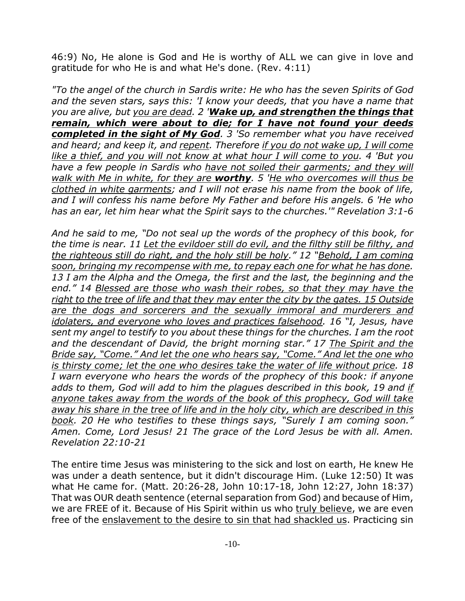46:9) No, He alone is God and He is worthy of ALL we can give in love and gratitude for who He is and what He's done. (Rev. 4:11)

*"To the angel of the church in Sardis write: He who has the seven Spirits of God and the seven stars, says this: 'I know your deeds, that you have a name that you are alive, but you are dead. 2 'Wake up, and strengthen the things that remain, which were about to die; for I have not found your deeds completed in the sight of My God. 3 'So remember what you have received and heard; and keep it, and repent. Therefore if you do not wake up, I will come like a thief, and you will not know at what hour I will come to you. 4 'But you have a few people in Sardis who have not soiled their garments; and they will walk with Me in white, for they are worthy. 5 'He who overcomes will thus be clothed in white garments; and I will not erase his name from the book of life, and I will confess his name before My Father and before His angels. 6 'He who has an ear, let him hear what the Spirit says to the churches.'" Revelation 3:1-6*

*And he said to me, "Do not seal up the words of the prophecy of this book, for the time is near. 11 Let the evildoer still do evil, and the filthy still be filthy, and the righteous still do right, and the holy still be holy." 12 "Behold, I am coming soon, bringing my recompense with me, to repay each one for what he has done. 13 I am the Alpha and the Omega, the first and the last, the beginning and the end." 14 Blessed are those who wash their robes, so that they may have the right to the tree of life and that they may enter the city by the gates. 15 Outside are the dogs and sorcerers and the sexually immoral and murderers and idolaters, and everyone who loves and practices falsehood. 16 "I, Jesus, have sent my angel to testify to you about these things for the churches. I am the root and the descendant of David, the bright morning star." 17 The Spirit and the Bride say, "Come." And let the one who hears say, "Come." And let the one who is thirsty come; let the one who desires take the water of life without price. 18 I warn everyone who hears the words of the prophecy of this book: if anyone adds to them, God will add to him the plagues described in this book, 19 and if anyone takes away from the words of the book of this prophecy, God will take away his share in the tree of life and in the holy city, which are described in this book. 20 He who testifies to these things says, "Surely I am coming soon." Amen. Come, Lord Jesus! 21 The grace of the Lord Jesus be with all. Amen. Revelation 22:10-21*

The entire time Jesus was ministering to the sick and lost on earth, He knew He was under a death sentence, but it didn't discourage Him. (Luke 12:50) It was what He came for. (Matt. 20:26-28, John 10:17-18, John 12:27, John 18:37) That was OUR death sentence (eternal separation from God) and because of Him, we are FREE of it. Because of His Spirit within us who truly believe, we are even free of the enslavement to the desire to sin that had shackled us. Practicing sin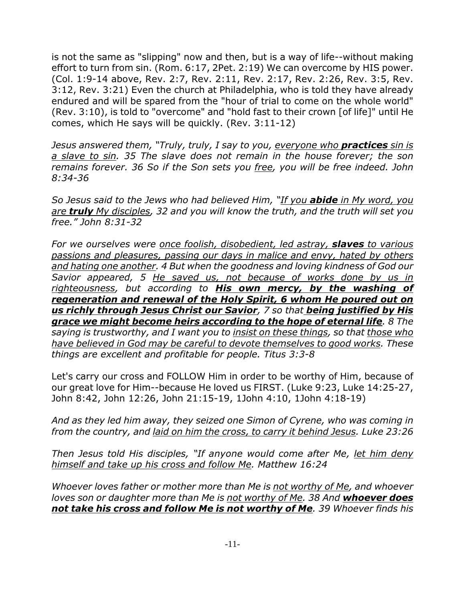is not the same as "slipping" now and then, but is a way of life--without making effort to turn from sin. (Rom. 6:17, 2Pet. 2:19) We can overcome by HIS power. (Col. 1:9-14 above, Rev. 2:7, Rev. 2:11, Rev. 2:17, Rev. 2:26, Rev. 3:5, Rev. 3:12, Rev. 3:21) Even the church at Philadelphia, who is told they have already endured and will be spared from the "hour of trial to come on the whole world" (Rev. 3:10), is told to "overcome" and "hold fast to their crown [of life]" until He comes, which He says will be quickly. (Rev. 3:11-12)

*Jesus answered them, "Truly, truly, I say to you, everyone who practices sin is a slave to sin. 35 The slave does not remain in the house forever; the son remains forever. 36 So if the Son sets you free, you will be free indeed. John 8:34-36*

*So Jesus said to the Jews who had believed Him, "If you abide in My word, you are truly My disciples, 32 and you will know the truth, and the truth will set you free." John 8:31-32*

*For we ourselves were once foolish, disobedient, led astray, slaves to various passions and pleasures, passing our days in malice and envy, hated by others and hating one another. 4 But when the goodness and loving kindness of God our Savior appeared, 5 He saved us, not because of works done by us in righteousness, but according to His own mercy, by the washing of regeneration and renewal of the Holy Spirit, 6 whom He poured out on us richly through Jesus Christ our Savior, 7 so that being justified by His grace we might become heirs according to the hope of eternal life. 8 The saying is trustworthy, and I want you to insist on these things, so that those who have believed in God may be careful to devote themselves to good works. These things are excellent and profitable for people. Titus 3:3-8*

Let's carry our cross and FOLLOW Him in order to be worthy of Him, because of our great love for Him--because He loved us FIRST. (Luke 9:23, Luke 14:25-27, John 8:42, John 12:26, John 21:15-19, 1John 4:10, 1John 4:18-19)

*And as they led him away, they seized one Simon of Cyrene, who was coming in from the country, and laid on him the cross, to carry it behind Jesus. Luke 23:26*

*Then Jesus told His disciples, "If anyone would come after Me, let him deny himself and take up his cross and follow Me. Matthew 16:24*

*Whoever loves father or mother more than Me is not worthy of Me, and whoever loves son or daughter more than Me is not worthy of Me. 38 And whoever does not take his cross and follow Me is not worthy of Me. 39 Whoever finds his*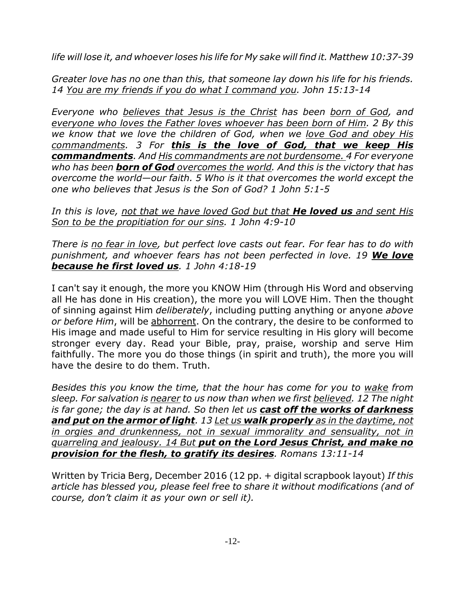*life will lose it, and whoever loses his life for My sake will find it. Matthew 10:37-39*

*Greater love has no one than this, that someone lay down his life for his friends. 14 You are my friends if you do what I command you. John 15:13-14*

*Everyone who believes that Jesus is the Christ has been born of God, and everyone who loves the Father loves whoever has been born of Him. 2 By this we know that we love the children of God, when we love God and obey His commandments. 3 For this is the love of God, that we keep His commandments. And His commandments are not burdensome. 4 For everyone who has been born of God overcomes the world. And this is the victory that has overcome the world—our faith. 5 Who is it that overcomes the world except the one who believes that Jesus is the Son of God? 1 John 5:1-5*

*In this is love, not that we have loved God but that He loved us and sent His Son to be the propitiation for our sins. 1 John 4:9-10*

*There is no fear in love, but perfect love casts out fear. For fear has to do with punishment, and whoever fears has not been perfected in love. 19 We love because he first loved us. 1 John 4:18-19*

I can't say it enough, the more you KNOW Him (through His Word and observing all He has done in His creation), the more you will LOVE Him. Then the thought of sinning against Him *deliberately*, including putting anything or anyone *above or before Him*, will be abhorrent. On the contrary, the desire to be conformed to His image and made useful to Him for service resulting in His glory will become stronger every day. Read your Bible, pray, praise, worship and serve Him faithfully. The more you do those things (in spirit and truth), the more you will have the desire to do them. Truth.

*Besides this you know the time, that the hour has come for you to wake from sleep. For salvation is nearer to us now than when we first believed. 12 The night is far gone; the day is at hand. So then let us cast off the works of darkness and put on the armor of light. 13 Let us walk properly as in the daytime, not in orgies and drunkenness, not in sexual immorality and sensuality, not in quarreling and jealousy. 14 But put on the Lord Jesus Christ, and make no provision for the flesh, to gratify its desires. Romans 13:11-14*

Written by Tricia Berg, December 2016 (12 pp. + digital scrapbook layout) *If this article has blessed you, please feel free to share it without modifications (and of course, don't claim it as your own or sell it).*